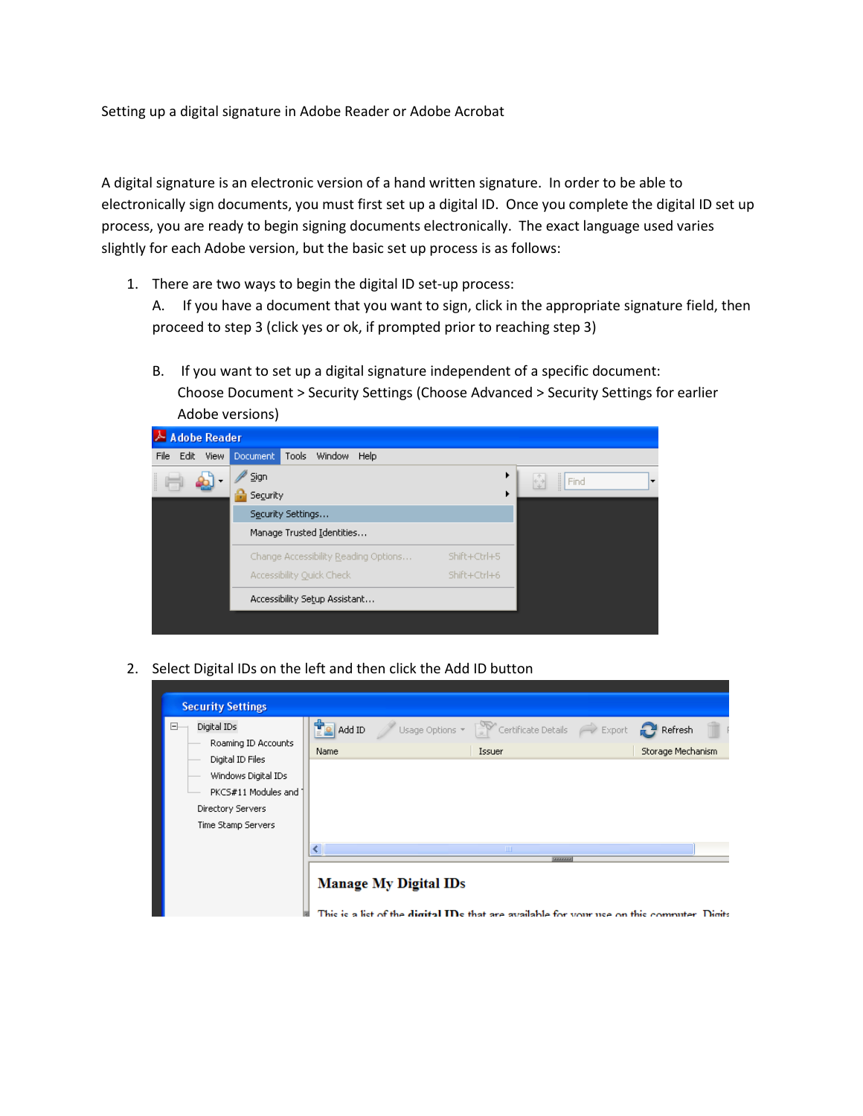Setting up a digital signature in Adobe Reader or Adobe Acrobat

A digital signature is an electronic version of a hand written signature. In order to be able to electronically sign documents, you must first set up a digital ID. Once you complete the digital ID set up process, you are ready to begin signing documents electronically. The exact language used varies slightly for each Adobe version, but the basic set up process is as follows:

1. There are two ways to begin the digital ID set-up process:

A. If you have a document that you want to sign, click in the appropriate signature field, then proceed to step 3 (click yes or ok, if prompted prior to reaching step 3)

B. If you want to set up a digital signature independent of a specific document: Choose Document > Security Settings (Choose Advanced > Security Settings for earlier Adobe versions)



2. Select Digital IDs on the left and then click the Add ID button

| <b>Security Settings</b>                                                                                                         |                     |                              |                                                                                                             |                   |  |
|----------------------------------------------------------------------------------------------------------------------------------|---------------------|------------------------------|-------------------------------------------------------------------------------------------------------------|-------------------|--|
| Digital IDs<br>Ξ<br>Roaming ID Accounts<br>Digital ID Files<br>Windows Digital IDs<br>PKCS#11 Modules and 1<br>Directory Servers | Ë<br>Add ID<br>Name |                              | Usage Options $\sqrt{\phantom{a}}$ Certificate Details $\phantom{a}$ Export $\phantom{a}$ Refresh<br>Issuer | Storage Mechanism |  |
|                                                                                                                                  |                     |                              |                                                                                                             |                   |  |
| Time Stamp Servers                                                                                                               |                     | <b>Manage My Digital IDs</b> | $\rm{III}$<br><b>SERVICE</b>                                                                                |                   |  |

This is a list of the digital IDs that are available for your use on this commuter. Digits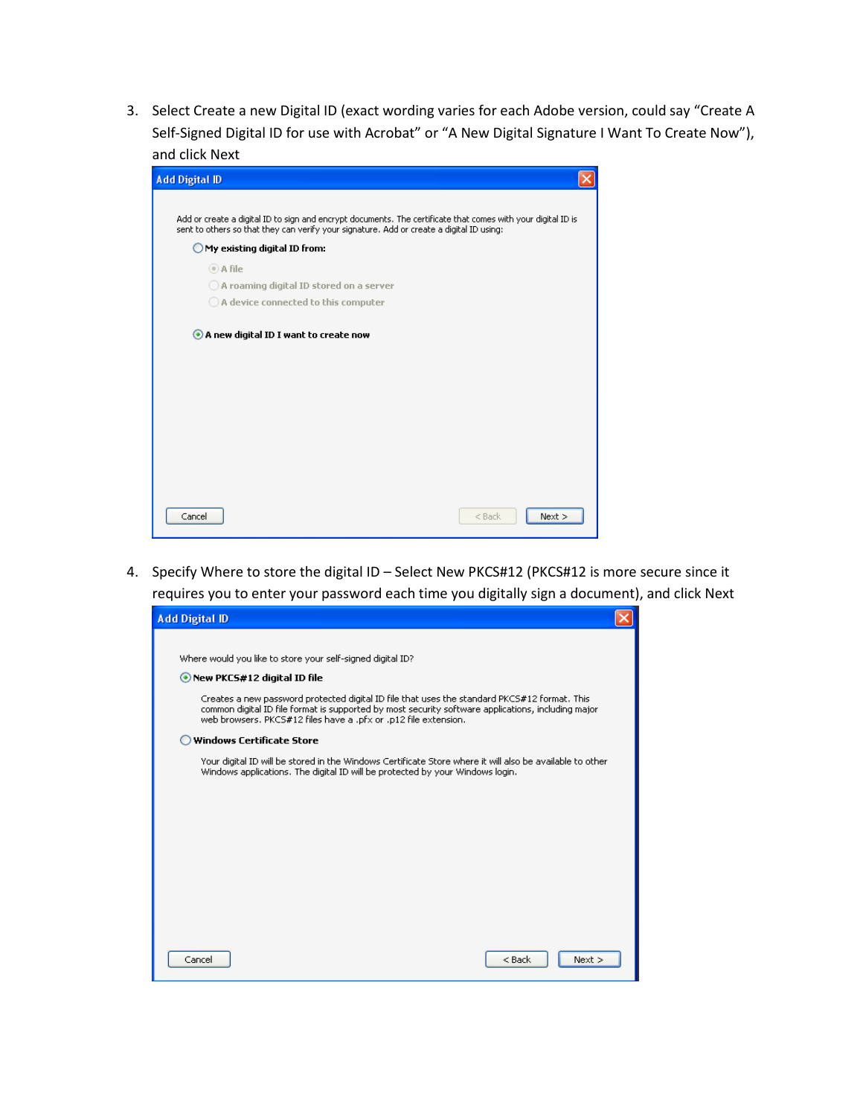3. Select Create a new Digital ID (exact wording varies for each Adobe version, could say "Create A Self-Signed Digital ID for use with Acrobat" or "A New Digital Signature I Want To Create Now"), and click Next

| <b>Add Digital ID</b>                                                                                                                                                                                    |  |
|----------------------------------------------------------------------------------------------------------------------------------------------------------------------------------------------------------|--|
|                                                                                                                                                                                                          |  |
| Add or create a digital ID to sign and encrypt documents. The certificate that comes with your digital ID is<br>sent to others so that they can verify your signature. Add or create a digital ID using: |  |
| My existing digital ID from:                                                                                                                                                                             |  |
| ◎ A file                                                                                                                                                                                                 |  |
| $\bigcirc$ A roaming digital ID stored on a server                                                                                                                                                       |  |
| $\bigcirc$ A device connected to this computer                                                                                                                                                           |  |
| A new digital ID I want to create now                                                                                                                                                                    |  |
| Cancel<br>Next<br>$<$ Back                                                                                                                                                                               |  |

4. Specify Where to store the digital ID – Select New PKCS#12 (PKCS#12 is more secure since it requires you to enter your password each time you digitally sign a document), and click Next

| <b>Add Digital ID</b>                                                                                                                                                                                                                                                 |  |
|-----------------------------------------------------------------------------------------------------------------------------------------------------------------------------------------------------------------------------------------------------------------------|--|
|                                                                                                                                                                                                                                                                       |  |
| Where would you like to store your self-signed digital ID?                                                                                                                                                                                                            |  |
| • New PKCS#12 digital ID file                                                                                                                                                                                                                                         |  |
| Creates a new password protected digital ID file that uses the standard PKCS#12 format. This<br>common digital ID file format is supported by most security software applications, including major<br>web browsers. PKCS#12 files have a .pfx or .p12 file extension. |  |
| <b>Windows Certificate Store</b>                                                                                                                                                                                                                                      |  |
| Your digital ID will be stored in the Windows Certificate Store where it will also be available to other<br>Windows applications. The digital ID will be protected by your Windows login.                                                                             |  |
|                                                                                                                                                                                                                                                                       |  |
|                                                                                                                                                                                                                                                                       |  |
|                                                                                                                                                                                                                                                                       |  |
|                                                                                                                                                                                                                                                                       |  |
|                                                                                                                                                                                                                                                                       |  |
|                                                                                                                                                                                                                                                                       |  |
|                                                                                                                                                                                                                                                                       |  |
| Next<br>Cancel<br>$<$ Back                                                                                                                                                                                                                                            |  |